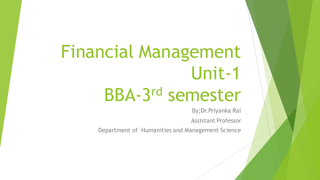# Financial Management Unit-1 BBA-3 rd semester

By;Dr.Priyanka Rai

Assistant Professor

Department of Humanities and Management Science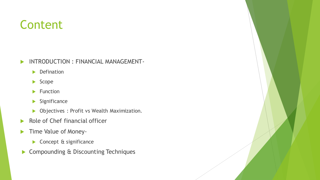## Content

- INTRODUCTION : FINANCIAL MANAGEMENT-
	- **Defination**
	- $\blacktriangleright$  Scope
	- $\blacktriangleright$  Function
	- $\blacktriangleright$  Significance
	- **Diectives : Profit vs Wealth Maximization.**
- Role of Chef financial officer
- Time Value of Money-
	- Concept & significance
- ▶ Compounding & Discounting Techniques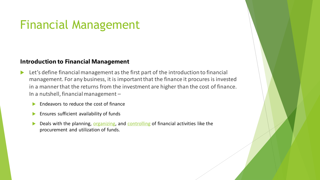## Financial Management

#### **Introduction to Financial Management**

- Let's define financial management as the first part of the introduction to financial management. For any business, it is important that the finance it procures is invested in a manner that the returns from the investment are higher than the cost of finance. In a nutshell, financial management –
	- Endeavors to reduce the cost of finance
	- Ensures sufficient availability of funds
	- Deals with the planning, [organizing,](https://www.toppr.com/guides/fundamentals-of-economics-and-management-cma/organising/process-of-organizing/) and [controlling](https://www.toppr.com/guides/business-studies/controlling/meaning-of-controlling/) of financial activities like the procurement and utilization of funds.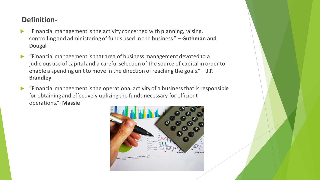### **Definition-**

- "Financial management is the activity concerned with planning, raising, controlling and administering of funds used in the business." – **Guthman and Dougal**
- "Financial management is that area of business management devoted to a judicious use of capital and a careful selection of the source of capital in order to enable a spending unit to move in the direction of reaching the goals." – **J.F. Brandley**
- $\blacktriangleright$  "Financial management is the operational activity of a business that is responsible for obtaining and effectively utilizing the funds necessary for efficient operations."- **Massie**

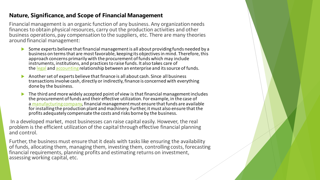### **Nature, Significance, and Scope of Financial Management**

Financial management is an organic function of any business. Any organization needs finances to obtain physical resources, carry out the production activities and other business operations, pay compensation to the suppliers, etc. There are many theories around financial management:

- Some experts believe that financial management is all about providing funds needed by a business on terms that are most favorable, keeping its objectives in mind. Therefore, this approach concerns primarily with the procurement of funds which may include instruments, institutions, and practices to raise funds. It also takes care of the [legal](https://www.toppr.com/guides/business-law-cs/introduction-to-law/various-definitions-of-law/) and [accounting](https://www.toppr.com/guides/principles-and-practice-of-accounting/meaning-and-scope-of-accounting/meaning-of-accounting/) relationship between an enterprise and its source of funds.
- Another set of experts believe that finance is all about cash. Since all business transactions involve cash, directly or indirectly, finance is concerned with everything done by the business.
- The third and more widely accepted point of view is that financial management includes the procurement of funds and their effective utilization. For example, in the case of a [manufacturing company,](https://www.toppr.com/guides/geography/manufacturing-industries/what-are-manufacturing-industries/) financial management must ensure that funds are available for installing the production plant and machinery. Further, it must also ensure that the profits adequately compensate the costs and risks borne by the business.

In a developed market, most businesses can raise capital easily. However, the real problem is the efficient utilization of the capital through effective financial planning and control.

Further, the business must ensure that it deals with tasks like ensuring the availability of funds, allocating them, managing them, investing them, controlling costs, forecasting financial requirements, planning profits and estimating returns on investment, assessing working capital, etc.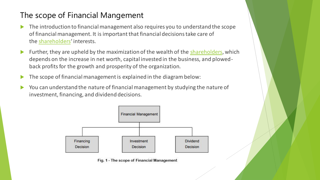### The scope of Financial Mangement

- The introduction to financial management also requires you to understand the scope of financial management. It is important that financial decisions take care of the [shareholders](https://www.toppr.com/guides/business-studies/sources-of-business-finance/equity-shares-and-preference-shares/)' interests.
- Further, they are upheld by the maximization of the wealth of the [shareholders](https://www.toppr.com/guides/business-laws-cs/elements-of-company-law-ii/appointment-of-directors/), which depends on the increase in net worth, capital invested in the business, and plowedback profits for the growth and prosperity of the organization.
- The scope of financial management is explained in the diagram below:
- You can understand the nature of financial management by studying the nature of investment, financing, and dividend decisions.



Fig. 1 - The scope of Financial Management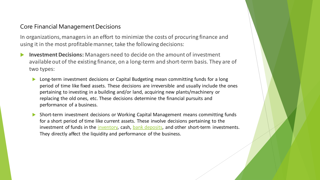#### Core Financial Management Decisions

In organizations, managers in an effort to minimize the costs of procuring finance and using it in the most profitable manner, take the following decisions:

- **Investment Decisions:** Managers need to decide on the amount of investment available out of the existing finance, on a long-term and short-term basis. They are of two types:
	- Long-term investment decisions or Capital Budgeting mean committing funds for a long period of time like fixed assets. These decisions are irreversible and usually include the ones pertaining to investing in a building and/or land, acquiring new plants/machinery or replacing the old ones, etc. These decisions determine the financial pursuits and performance of a business.
	- Short-term investment decisions or Working Capital Management means committing funds for a short period of time like current assets. These involve decisions pertaining to the investment of funds in the *inventory*, cash, **bank deposits**, and other short-term investments. They directly affect the liquidity and performance of the business.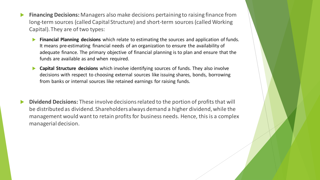- **Financing Decisions:** Managers also make decisions pertaining to raising finance from long-term sources (called Capital Structure) and short-term sources (called Working Capital). They are of two types:
	- **Financial Planning decisions** which relate to estimating the sources and application of funds. It means pre-estimating financial needs of an organization to ensure the availability of adequate finance. The primary objective of financial planning is to plan and ensure that the funds are available as and when required.
	- **Capital Structure decisions** which involve identifying sources of funds. They also involve decisions with respect to choosing external sources like issuing shares, bonds, borrowing from banks or internal sources like retained earnings for raising funds.
- **Dividend Decisions:** These involve decisions related to the portion of profits that will be distributed as dividend. Shareholders always demand a higher dividend, while the management would want to retain profits for business needs. Hence, this is a complex managerial decision.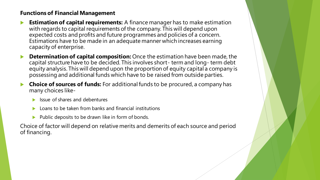#### **Functions of Financial Management**

- **Estimation of capital requirements:** A finance manager has to make estimation with regards to capital requirements of the company. This will depend upon expected costs and profits and future programmes and policies of a concern. Estimations have to be made in an adequate manner which increases earning capacity of enterprise.
- **Determination of capital composition:** Once the estimation have been made, the capital structure have to be decided. This involves short- term and long- term debt equity analysis. This will depend upon the proportion of equity capital a company is possessing and additional funds which have to be raised from outside parties.
- **Choice of sources of funds:** For additional funds to be procured, a company has many choices like-
	- Issue of shares and debentures
	- Loans to be taken from banks and financial institutions
	- $\blacktriangleright$  Public deposits to be drawn like in form of bonds.

Choice of factor will depend on relative merits and demerits of each source and period of financing.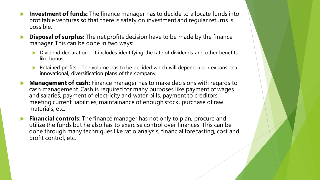- **Investment of funds:** The finance manager has to decide to allocate funds into profitable ventures so that there is safety on investment and regular returns is possible.
- **Disposal of surplus:** The net profits decision have to be made by the finance manager. This can be done in two ways:
	- Dividend declaration It includes identifying the rate of dividends and other benefits like bonus.
	- Retained profits The volume has to be decided which will depend upon expansional, innovational, diversification plans of the company.
- **Management of cash:** Finance manager has to make decisions with regards to cash management. Cash is required for many purposes like payment of wages and salaries, payment of electricity and water bills, payment to creditors, meeting current liabilities, maintainance of enough stock, purchase of raw materials, etc.
- **Financial controls:** The finance manager has not only to plan, procure and utilize the funds but he also has to exercise control over finances. This can be done through many techniques like ratio analysis, financial forecasting, cost and profit control, etc.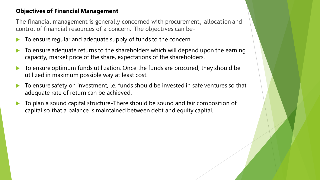### **Objectives of Financial Management**

The financial management is generally concerned with procurement, allocation and control of financial resources of a concern. The objectives can be-

- To ensure regular and adequate supply of funds to the concern.
- To ensure adequate returns to the shareholders which will depend upon the earning capacity, market price of the share, expectations of the shareholders.
- ▶ To ensure optimum funds utilization. Once the funds are procured, they should be utilized in maximum possible way at least cost.
- ▶ To ensure safety on investment, i.e, funds should be invested in safe ventures so that adequate rate of return can be achieved.
- To plan a sound capital structure-There should be sound and fair composition of capital so that a balance is maintained between debt and equity capital.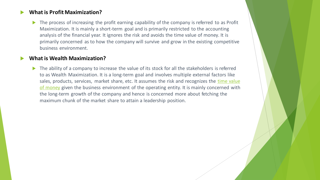#### **What is Profit Maximization?**

 The process of increasing the profit earning capability of the company is referred to as Profit Maximization. It is mainly a short-term goal and is primarily restricted to the accounting analysis of the financial year. It ignores the risk and avoids the time value of money. It is primarily concerned as to how the company will survive and grow in the existing competitive business environment.

#### **What is Wealth Maximization?**

 The ability of a company to increase the value of its stock for all the stakeholders is referred to as Wealth Maximization. It is a long-term goal and involves multiple external factors like sales, products, services, market share, etc. It assumes the risk and recognizes the time value of money [given the business environment of the operating entity. It is mainly concerned with](https://www.wallstreetmojo.com/time-value-money/) the long-term growth of the company and hence is concerned more about fetching the maximum chunk of the market share to attain a leadership position.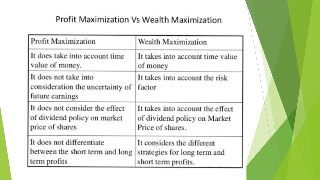## Profit Maximization Vs Wealth Maximization

| Profit Maximization                                                          | Wealth Maximization                      |
|------------------------------------------------------------------------------|------------------------------------------|
| It does take into account time                                               | It takes into account time value         |
| value of money.                                                              | of money                                 |
| It does not take into<br>consideration the uncertainty of<br>future earnings | It takes into account the risk<br>factor |
| It does not consider the effect                                              | It takes into account the effect         |
| of dividend policy on market                                                 | of dividend policy on Market             |
| price of shares                                                              | Price of shares.                         |
| It does not differentiate                                                    | It considers the different               |
| between the short term and long                                              | strategies for long term and             |
| term profits                                                                 | short term profits.                      |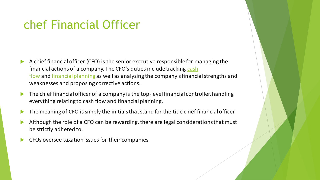## chef Financial Officer

- A chief financial officer (CFO) is the senior executive responsible for managing the [financial actions of a company. The CFO's duties include tracking](https://www.investopedia.com/terms/c/cashflow.asp) cash flow and [financial planning](https://www.investopedia.com/terms/f/financial-planning-association.asp) as well as analyzing the company's financial strengths and weaknesses and proposing corrective actions.
- $\blacktriangleright$  The chief financial officer of a company is the top-level financial controller, handling everything relating to cash flow and financial planning.
- The meaning of CFO is simply the initials that stand for the title chief financial officer.
- Although the role of a CFO can be rewarding, there are legal considerations that must be strictly adhered to.
- CFOs oversee taxation issues for their companies.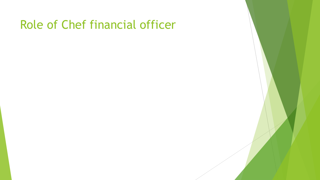## Role of Chef financial officer

- 
- 
- 
- 
- 
- 
- 
- 
- - - - - -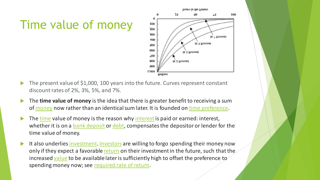## Time value of money



- The present value of \$1,000, 100 years into the future. Curves represent constant discount rates of 2%, 3%, 5%, and 7%.
- The **time value of money** is the idea that there is greater benefit to receiving a sum of [money](https://en.m.wikipedia.org/wiki/Money) now rather than an identical sum later. It is founded on [time preference.](https://en.m.wikipedia.org/wiki/Time_preference)
- The [time](https://en.m.wikipedia.org/wiki/Time) value of money is the reason why [interest](https://en.m.wikipedia.org/wiki/Interest) is paid or earned: interest, whether it is on a [bank deposit](https://en.m.wikipedia.org/wiki/Bank_deposit) or [debt](https://en.m.wikipedia.org/wiki/Debt), compensates the depositor or lender for the time value of money.
- It also underlies [investment](https://en.m.wikipedia.org/wiki/Investment). [Investors](https://en.m.wikipedia.org/wiki/Investor) are willing to forgo spending their money now only if they expect a favorable [return](https://en.m.wikipedia.org/wiki/Rate_of_return) on their investment in the future, such that the increased [value](https://en.m.wikipedia.org/wiki/Value_(economics)) to be available later is sufficiently high to offset the preference to spending money now; see [required rate of return.](https://en.m.wikipedia.org/wiki/Required_rate_of_return)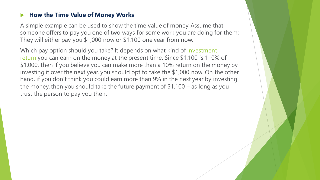### **How the Time Value of Money Works**

A simple example can be used to show the time value of money. Assume that someone offers to pay you one of two ways for some work you are doing for them: They will either pay you \$1,000 now or \$1,100 one year from now.

Which pay option should you take? It depends on what kind of investment return [you can earn on the money at the present time. Since \\$1,100 is 110%](https://corporatefinanceinstitute.com/resources/knowledge/finance/rate-of-return-guide/) of \$1,000, then if you believe you can make more than a 10% return on the money by investing it over the next year, you should opt to take the \$1,000 now. On the other hand, if you don't think you could earn more than 9% in the next year by investing the money, then you should take the future payment of \$1,100 – as long as you trust the person to pay you then.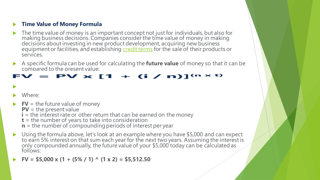### **Time Value of Money Formula**

- The time value of money is an important concept not just for individuals, but also for making business decisions. Companies consider the time value of money in making decisions about investing in new product development, acquiring new business equipment or facilities, and establishing [credit terms](https://corporatefinanceinstitute.com/resources/knowledge/deals/sale-purchase-agreement/) for the sale of their products or services.
- A specific formula can be used for calculating the **future value** of money so that it can be compared to the present value:

### $FV = PV \times [1 + (i/n)]^{(n \times t)}$

#### Where:

 $\blacktriangleright$ 

- **FV** = the future value of money
	- **PV** = the present value
	- **i** = the interest rate or other return that can be earned on the money
	- **t** = the number of years to take into consideration
	- **n** = the number of compounding periods of interest per year
- Using the formula above, let's look at an example where you have \$5,000 and can expect to earn 5% interest on that sum each year for the next two years. Assuming the interest is only compounded annually, the future value of your \$5,000 today can be calculated as follows:
- **FV = \$5,000 x (1 + (5% / 1) ^ (1 x 2) = \$5,512.50**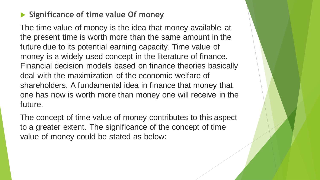## **Significance of time value Of money**

The time value of money is the idea that money available at the present time is worth more than the same amount in the future due to its potential earning capacity. Time value of money is a widely used concept in the literature of finance. Financial decision models based on finance theories basically deal with the maximization of the economic welfare of shareholders. A fundamental idea in finance that money that one has now is worth more than money one will receive in the future.

The concept of time value of money contributes to this aspect to a greater extent. The significance of the concept of time value of money could be stated as below: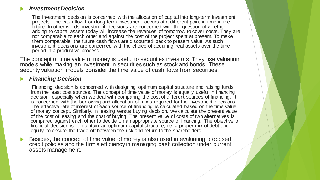#### *Investment Decision*

The investment decision is concerned with the allocation of capital into long-term investment projects. The cash flow from long-term investment occurs at a different point in time in the future. In other words, investment decisions are concerned with the question of whether adding to capital assets today will increase the revenues of tomorrow to cover costs. They are not comparable to each other and against the cost of the project spent at present. To make them comparable, the future cash flows are discounted back to present value. As such investment decisions are concerned with the choice of acquiring real assets over the time period in a productive process.

The concept of time value of money is useful to securities investors. They use valuation models while making an investment in securities such as stock and bonds. These security valuation models consider the time value of cash flows from securities.

#### *Financing Decision*

Financing decision is concerned with designing optimum capital structure and raising funds from the least cost sources. The concept of time value of money is equally useful in financing decision, especially when we deal with comparing the cost of different sources of financing. It is concerned with the borrowing and allocation of funds required for the investment decisions. The effective rate of interest of each source of financing is calculated based on the time value of money concept. Similarly, in leasing versus buying decision, we calculate the present value of the cost of leasing and the cost of buying. The present value of costs of two alternatives is compared against each other to decide on an appropriate source of financing. The objective of financial decision is to maintain an optimum capital structure, i.e. a proper mix of debt and equity, to ensure the trade-off between the risk and return to the shareholders.

Besides, the concept of time value of money is also used in evaluating proposed credit policies and the firm's efficiency in managing cash collection under current assets management.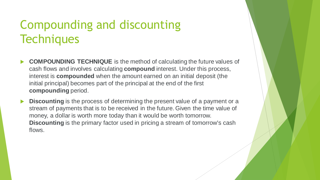## Compounding and discounting **Techniques**

- **COMPOUNDING TECHNIQUE** is the method of calculating the future values of cash flows and involves calculating **compound** interest. Under this process, interest is **compounded** when the amount earned on an initial deposit (the initial principal) becomes part of the principal at the end of the first **compounding** period.
- **Discounting** is the process of determining the present value of a payment or a stream of payments that is to be received in the future. Given the time value of money, a dollar is worth more today than it would be worth tomorrow. **Discounting** is the primary factor used in pricing a stream of tomorrow's cash flows.